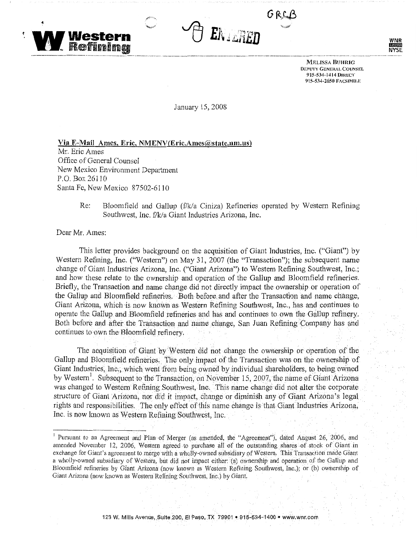



**MELISSA BUHRIG DEPUTY GENERAL COUNSEL**  **WNR ILISTER NYSE.** 

**915-534-1414 Ouu:CT 915-534-2650 FACSIMILE** 

January 15, 2008

**Via E~Mail Ames, Eric, NMENV(Eric.Amcs@statc.nm.us)**  Mr. Eric Ames Office of General Counsel New Mexico Environment Department P.O. Box 26110 Santa Fe, New Mexico 87502~6110

> Re: Bloomfield and Gallup (f/k/a Ciniza) Refineries operated by Western Refining Southwest, Inc. f/k/a Giant Industries Arizona, Inc.

Dear Mr. Ames:

This letter provides background on the acquisition of Giant Industries, Inc. ("Giant") by Western Refining, Inc. ("Western") on May 31, 2007 (the "Transaction"); the subsequent name change of Giant Industries Arizona, Inc. ("Giant Arizona") to Western Refining Southwest, Inc.; and how these relate to the ownership and operation of the Gallup and Bloomfield refineries. Briefly, the Transaction and name chaqge did not directly impact the ownership or operation of the Gallup and Bloomfield refineries. Both before and after the Transaction and name change, Giant Arizona, which is now known as Western Refining Southwest, Inc., has and continues to operate the Gallup and Bloomfield refineries and has and continues to own the Gallup refinery. Both before and after the Transaction and name change, San Juan Refining Company has and continues to own the Bloomfield refinery.

The acquisition of Giant by Western did not change the ownership or operation of the Gallup and Bloomfield refineries. The only impact of the Transaction was on the ownership of Giant Industries, Inc., which went from being owned by individual shareholders, to being owned by Western<sup>1</sup>. Subsequent to the Transaction, on November 15, 2007, the name of Giant Arizona was changed to Western Refining Southwest, Inc. This name change did not alter the corporate structure of Giant Arizona, nor did it impact, change or diminish any of Giant Arizona's legal rights and responsibilities. The only effect of this name change is that Giant Industries Arizona, Inc. is now known as Western Refining Southwest, Inc.

<sup>&</sup>lt;sup>1</sup> Pursuant to an Agreement and Plan of Merger (as amended, the "Agreement"), dated August 26, 2006, and amended November 12, 2006, Western agreed to purchase all of the outstanding shares of stock of Giant in exchange for Giant's agreement to merge with a wholly-owned subsidiary of Western, This Transaction made Giant a wholly-owned subsidiary of Western, but did not impact either: (a) ownership and operation of the Gallup and Bloomfield refineries by Giant Arizona (now known as Western Refining Southwest, Inc,); or (b) ownership of Giant Arizona (now known as Western Refining Southwest, Inc.) by Giant.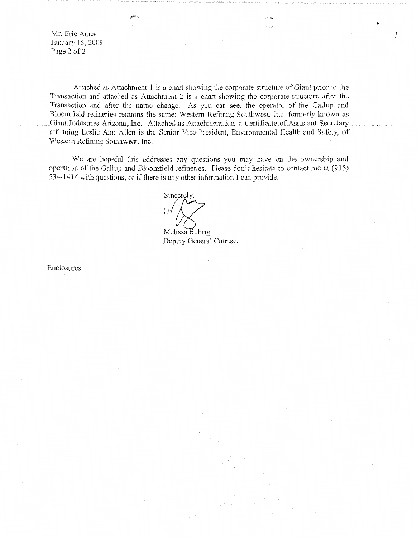Mr. Eric Ames January 15, 2008 Page 2 of 2

Attached as Attachment 1 is a chart showing the corporate structure of Giant prior to the Transaction and attached as Attachment *2* is a chart showing the corporate structure after the Transaction and after the name change. As you can see, the operator of the Gallup and Bloomfield refineries remains the same: Western Refining Southwest, Inc. formerly known as Giant Industries Arizona, Inc. Attached as Attachment 3 is a Certificate of Assistant Secretary affirming Leslie Ann Allen is the Senior Vice-President, Environmental Health and Safety, of Western Refining Southwest, lnc.

'

We arc hopeful this addresses any questions you may have on the ownership and operation of the Gallup and Bloomfield refineries. Please don't hesitate to contact me at (915) 534-1414 with questions, or if there is any other information I can provide.

 $\sqrt{\left( \frac{3}{2} \right)}$ Melissa Buhrig

Deputy General Counsel

Enclosures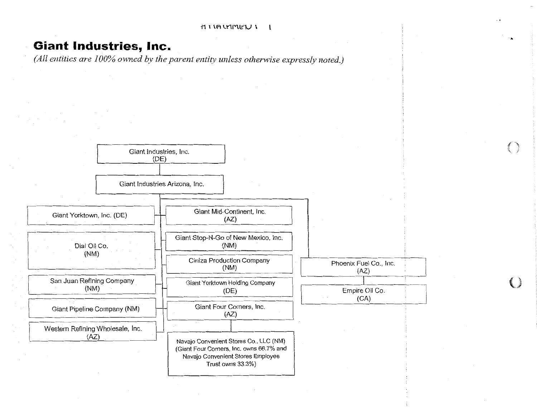$I \cap P$ 

.,.

## **Giant Industries, Inc.**

*(All entities are 100% owned by the parent entity unless otherwise expressly noted.)* 

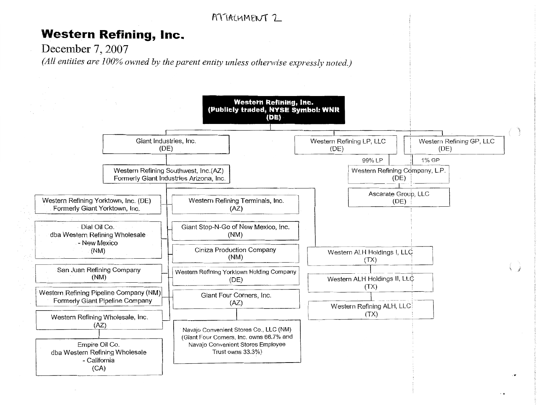

Western ALH Holdings I, LLC

 $(TX)$ 

Western ALH Holdings II, LLC

 $(TX)$ 

Western Refining ALH, LLC  $(TX)$ 

Ciniza Production Company

 $(NM)$ 

Western Refining Yorktown Holding Company

 $(DE)$ 

Giant Four Corners, Inc.

 $(AZ)$ 

Navajo Convenient Stores Co., LLC (NM) (Giant Four Comers, Inc. owns 66.7% and

Navaio Convenient Stores Emplovee Trust owns 33.3%)

 $(NM)$ 

San Juan Refining Company

 $(NM)$ 

Western Refining Pipeline Company (NM)

Western Refining Wholesale, Inc.  $(AZ)$ 

Empire Oil Co.

dba Western Refining Wholesale - California  $(CA)$ 

Formerly Giant Pipeline Company